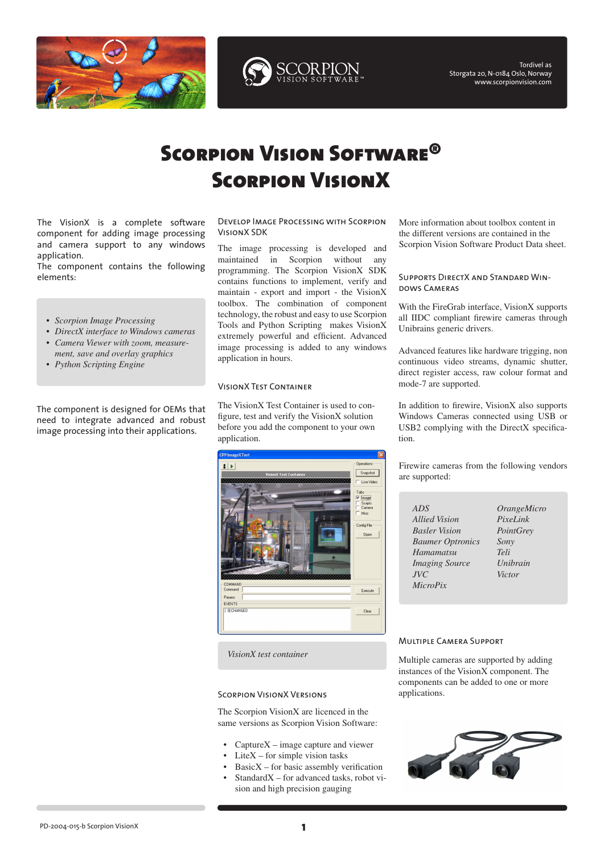



Tordivel as Storgata 20, N-0184 Oslo, Norway [www.scorpionvision.com](http://www.scorpionvision.com)

# Scorpion Vision Software® Scorpion VisionX

The VisionX is a complete software component for adding image processing and camera support to any windows application.

The component contains the following elements:

- *Scorpion Image Processing •*
- *DirectX interface to Windows cameras • Camera Viewer with zoom, measure-•*
- *ment, save and overlay graphics*
- *Python Scripting Engine •*

The component is designed for OEMs that need to integrate advanced and robust image processing into their applications.

#### Develop Image Processing with Scorpion VisionX SDK

The image processing is developed and maintained in Scorpion without any programming. The Scorpion VisionX SDK contains functions to implement, verify and maintain - export and import - the VisionX toolbox. The combination of component technology, the robust and easy to use Scorpion Tools and Python Scripting makes VisionX extremely powerful and efficient. Advanced image processing is added to any windows application in hours.

# VisionX Test Container

The VisionX Test Container is used to configure, test and verify the VisionX solution before you add the component to your own application.



*VisionX test container*

# Scorpion VisionX Versions

The Scorpion VisionX are licenced in the same versions as Scorpion Vision Software:

- CaptureX image capture and viewer •
- LiteX for simple vision tasks •
- BasicX for basic assembly verification •
- StandardX for advanced tasks, robot vision and high precision gauging •

More information about toolbox content in the different versions are contained in the [Scorpion Vision Software Product Data sheet.](http://www.tordivel.no/files/scorpion/PD-2005-008-c Scorpion Product Data 40.pdf)

# Supports DirectX and Standard Windows Cameras

With the FireGrab interface, VisionX supports all IIDC compliant firewire cameras through Unibrains generic drivers.

Advanced features like hardware trigging, non continuous video streams, dynamic shutter, direct register access, raw colour format and mode-7 are supported.

In addition to firewire, VisionX also supports Windows Cameras connected using USB or USB2 complying with the DirectX specification.

Firewire cameras from the following vendors are supported:

- *ADS Allied Vision Basler Vision Baumer Optronics Hamamatsu Imaging Source JVC MicroPix*
- *OrangeMicro PixeLink PointGrey Sony Teli Unibrain Victor*

# Multiple Camera Support

Multiple cameras are supported by adding instances of the VisionX component. The components can be added to one or more applications.